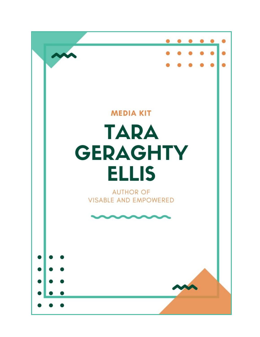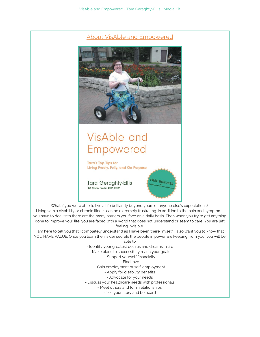

- Tell your story and be heard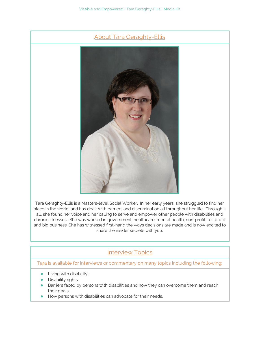



Tara Geraghty-Ellis is a Masters-level Social Worker. In her early years, she struggled to find her place in the world, and has dealt with barriers and discrimination all throughout her life. Through it all, she found her voice and her calling to serve and empower other people with disabilities and chronic illnesses. She was worked in government, healthcare, mental health, non-profit, for-profit and big business. She has witnessed first-hand the ways decisions are made and is now excited to share the insider secrets with you.

## **Interview Topics**

## Tara is available for interviews or commentary on many topics including the following:

- **•** Living with disability.
- Disability rights.
- Barriers faced by persons with disabilities and how they can overcome them and reach their goals..
- How persons with disabilities can advocate for their needs.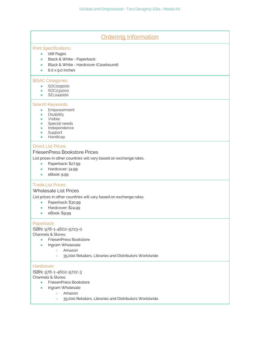| <b>Ordering Information</b>                                                                                                                                                                                      |
|------------------------------------------------------------------------------------------------------------------------------------------------------------------------------------------------------------------|
| <b>Print Specifications:</b><br>168 Pages<br>$\bullet$<br>Black & White - Paperback<br>Black & White - Hardcover (Casebound)<br>6.0 x 9.0 Inches                                                                 |
| <b>BISAC Categories:</b><br>SOC029000<br>$\bullet$<br>SOC031000<br>SEL044000                                                                                                                                     |
| Search Keywords:<br>Empowerment<br>$\bullet$<br>Disability<br>٠<br>Visible<br>$\bullet$<br>Special needs<br>$\bullet$<br>Independence<br>Support<br>Handicap                                                     |
| <b>Direct List Prices:</b><br>FriesenPress Bookstore Prices<br>List prices in other countries will vary based on exchange rates.<br>Paperback: \$27.99<br>Hardcover: 34.99<br>eBook: 9.99<br>$\bullet$           |
| <b>Trade List Prices:</b><br><b>Wholesale List Prices</b><br>List prices in other countries will vary based on exchange rates.<br>Paperback: \$30.99<br>$\bullet$<br>Hardcover: \$24.99<br>eBook: \$9.99         |
| Paperback:<br>ISBN: 978-1-4602-9723-0<br>Channels & Stores:<br>FriesenPress Bookstore<br>$\bullet$<br>Ingram Wholesale<br>Amazon<br>$\circ$<br>35,000 Retailers, Libraries and Distributors Worldwide<br>$\circ$ |
| Hardcover:<br>ISBN: 978-1-4602-9722-3<br>Channels & Stores:<br>FriesenPress Bookstore<br>$\bullet$<br>Ingram Wholesale<br>$\bullet$<br>Amazon<br>$\circ$                                                         |

o 35,000 Retailers, Libraries and Distributors Worldwide